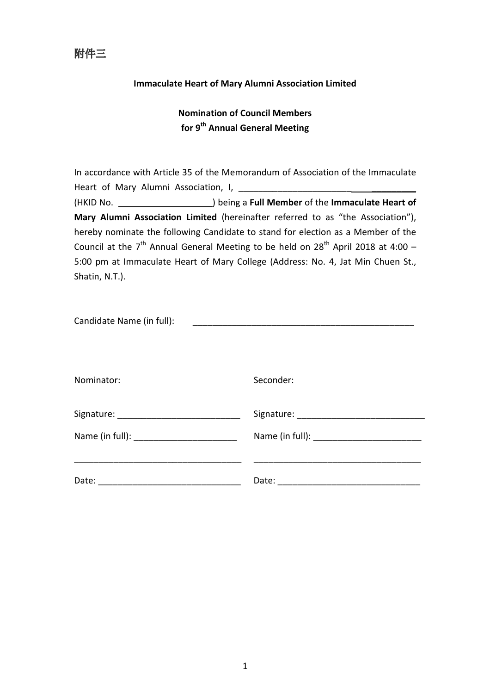

## Immaculate Heart of Mary Alumni Association Limited

## Nomination of Council Members for 9<sup>th</sup> Annual General Meeting

In accordance with Article 35 of the Memorandum of Association of the Immaculate Heart of Mary Alumni Association, I, \_\_\_\_\_\_\_\_\_\_\_\_\_\_\_\_\_\_\_\_\_\_\_ \_\_\_\_\_\_\_\_\_ (HKID No. ) being a Full Member of the Immaculate Heart of Mary Alumni Association Limited (hereinafter referred to as "the Association"), hereby nominate the following Candidate to stand for election as a Member of the Council at the  $7<sup>th</sup>$  Annual General Meeting to be held on  $28<sup>th</sup>$  April 2018 at 4:00 – 5:00 pm at Immaculate Heart of Mary College (Address: No. 4, Jat Min Chuen St., Shatin, N.T.).

| Candidate Name (in full): |           |
|---------------------------|-----------|
| Nominator:                | Seconder: |
|                           |           |
| Date:                     |           |